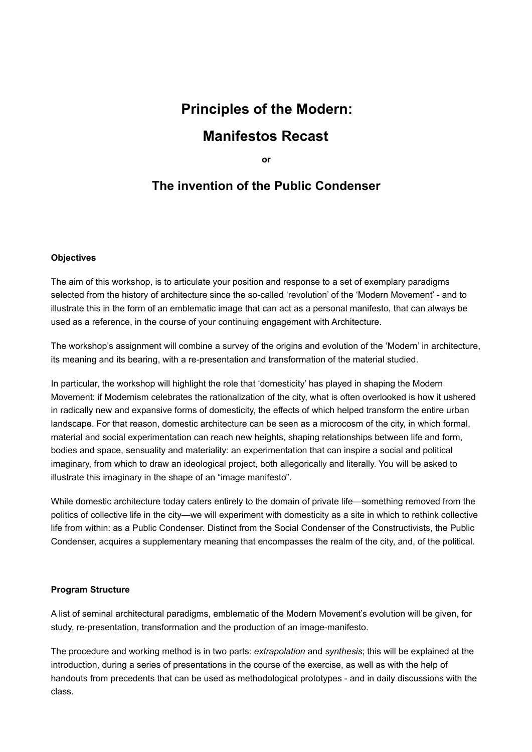# **Principles of the Modern: Manifestos Recast**

**or** 

# **The invention of the Public Condenser**

#### **Objectives**

The aim of this workshop, is to articulate your position and response to a set of exemplary paradigms selected from the history of architecture since the so-called 'revolution' of the 'Modern Movement' - and to illustrate this in the form of an emblematic image that can act as a personal manifesto, that can always be used as a reference, in the course of your continuing engagement with Architecture.

The workshop's assignment will combine a survey of the origins and evolution of the 'Modern' in architecture, its meaning and its bearing, with a re-presentation and transformation of the material studied.

In particular, the workshop will highlight the role that 'domesticity' has played in shaping the Modern Movement: if Modernism celebrates the rationalization of the city, what is often overlooked is how it ushered in radically new and expansive forms of domesticity, the effects of which helped transform the entire urban landscape. For that reason, domestic architecture can be seen as a microcosm of the city, in which formal, material and social experimentation can reach new heights, shaping relationships between life and form, bodies and space, sensuality and materiality: an experimentation that can inspire a social and political imaginary, from which to draw an ideological project, both allegorically and literally. You will be asked to illustrate this imaginary in the shape of an "image manifesto".

While domestic architecture today caters entirely to the domain of private life—something removed from the politics of collective life in the city—we will experiment with domesticity as a site in which to rethink collective life from within: as a Public Condenser. Distinct from the Social Condenser of the Constructivists, the Public Condenser, acquires a supplementary meaning that encompasses the realm of the city, and, of the political.

# **Program Structure**

A list of seminal architectural paradigms, emblematic of the Modern Movement's evolution will be given, for study, re-presentation, transformation and the production of an image-manifesto.

The procedure and working method is in two parts: *extrapolation* and *synthesis*; this will be explained at the introduction, during a series of presentations in the course of the exercise, as well as with the help of handouts from precedents that can be used as methodological prototypes - and in daily discussions with the class.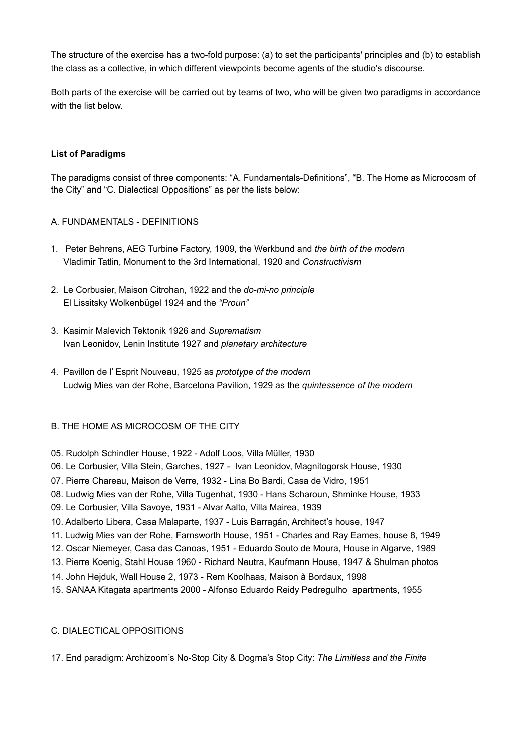The structure of the exercise has a two-fold purpose: (a) to set the participants' principles and (b) to establish the class as a collective, in which different viewpoints become agents of the studio's discourse.

Both parts of the exercise will be carried out by teams of two, who will be given two paradigms in accordance with the list below.

#### **List of Paradigms**

The paradigms consist of three components: "A. Fundamentals-Definitions", "B. The Home as Microcosm of the City" and "C. Dialectical Oppositions" as per the lists below:

#### A. FUNDAMENTALS - DEFINITIONS

- 1. Peter Behrens, AEG Turbine Factory, 1909, the Werkbund and *the birth of the modern* Vladimir Tatlin, Monument to the 3rd International, 1920 and *Constructivism*
- 2. Le Corbusier, Maison Citrohan, 1922 and the *do-mi-no principle*  El Lissitsky Wolkenbügel 1924 and the *"Proun"*
- 3. Kasimir Malevich Tektonik 1926 and *Suprematism* Ivan Leonidov, Lenin Institute 1927 and *planetary architecture*
- 4. Pavillon de l' Esprit Nouveau, 1925 as *prototype of the modern*  Ludwig Mies van der Rohe, Barcelona Pavilion, 1929 as the *quintessence of the modern*

#### B. THE HOME AS MICROCOSM OF THE CITY

05. Rudolph Schindler House, 1922 - Adolf Loos, Villa Müller, 1930

06. Le Corbusier, Villa Stein, Garches, 1927 - Ivan Leonidov, Magnitogorsk House, 1930

- 07. Pierre Chareau, Maison de Verre, 1932 Lina Bo Bardi, Casa de Vidro, 1951
- 08. Ludwig Mies van der Rohe, Villa Tugenhat, 1930 Hans Scharoun, Shminke House, 1933
- 09. Le Corbusier, Villa Savoye, 1931 Alvar Aalto, Villa Mairea, 1939
- 10. Adalberto Libera, Casa Malaparte, 1937 Luis Barragán, Architect's house, 1947
- 11. Ludwig Mies van der Rohe, Farnsworth House, 1951 Charles and Ray Eames, house 8, 1949
- 12. Oscar Niemeyer, Casa das Canoas, 1951 Eduardo Souto de Moura, House in Algarve, 1989
- 13. Pierre Koenig, Stahl House 1960 Richard Neutra, Kaufmann House, 1947 & Shulman photos
- 14. John Hejduk, Wall House 2, 1973 Rem Koolhaas, Maison à Bordaux, 1998
- 15. SANAA Kitagata apartments 2000 Alfonso Eduardo Reidy Pedregulho apartments, 1955

#### C. DIALECTICAL OPPOSITIONS

17. End paradigm: Archizoom's No-Stop City & Dogma's Stop City: *The Limitless and the Finite*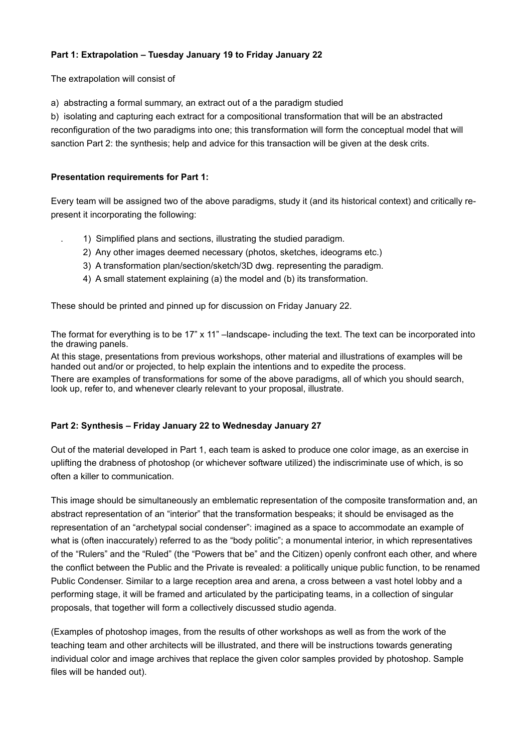### **Part 1: Extrapolation – Tuesday January 19 to Friday January 22**

The extrapolation will consist of

a) abstracting a formal summary, an extract out of a the paradigm studied

b) isolating and capturing each extract for a compositional transformation that will be an abstracted reconfiguration of the two paradigms into one; this transformation will form the conceptual model that will sanction Part 2: the synthesis; help and advice for this transaction will be given at the desk crits.

#### **Presentation requirements for Part 1:**

Every team will be assigned two of the above paradigms, study it (and its historical context) and critically represent it incorporating the following:

- . 1) Simplified plans and sections, illustrating the studied paradigm.
- 2) Any other images deemed necessary (photos, sketches, ideograms etc.)
- 3) A transformation plan/section/sketch/3D dwg. representing the paradigm.
- 4) A small statement explaining (a) the model and (b) its transformation.

These should be printed and pinned up for discussion on Friday January 22.

The format for everything is to be  $17" \times 11"$  –landscape- including the text. The text can be incorporated into the drawing panels.

At this stage, presentations from previous workshops, other material and illustrations of examples will be handed out and/or or projected, to help explain the intentions and to expedite the process.

There are examples of transformations for some of the above paradigms, all of which you should search, look up, refer to, and whenever clearly relevant to your proposal, illustrate.

# **Part 2: Synthesis – Friday January 22 to Wednesday January 27**

Out of the material developed in Part 1, each team is asked to produce one color image, as an exercise in uplifting the drabness of photoshop (or whichever software utilized) the indiscriminate use of which, is so often a killer to communication.

This image should be simultaneously an emblematic representation of the composite transformation and, an abstract representation of an "interior" that the transformation bespeaks; it should be envisaged as the representation of an "archetypal social condenser": imagined as a space to accommodate an example of what is (often inaccurately) referred to as the "body politic"; a monumental interior, in which representatives of the "Rulers" and the "Ruled" (the "Powers that be" and the Citizen) openly confront each other, and where the conflict between the Public and the Private is revealed: a politically unique public function, to be renamed Public Condenser. Similar to a large reception area and arena, a cross between a vast hotel lobby and a performing stage, it will be framed and articulated by the participating teams, in a collection of singular proposals, that together will form a collectively discussed studio agenda.

(Examples of photoshop images, from the results of other workshops as well as from the work of the teaching team and other architects will be illustrated, and there will be instructions towards generating individual color and image archives that replace the given color samples provided by photoshop. Sample files will be handed out).